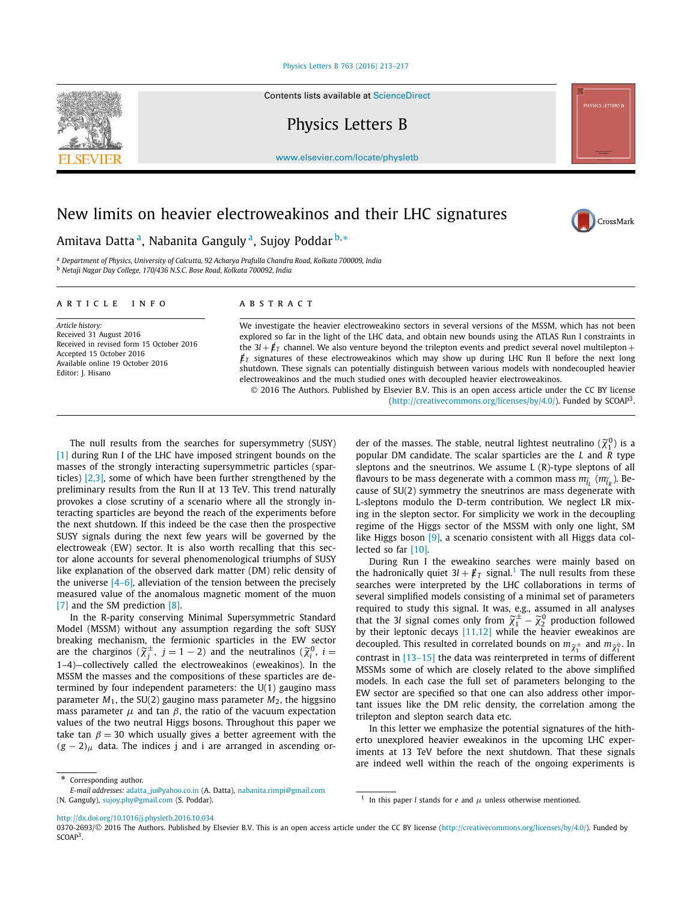### Physics Letters B 763 (2016) 213–217

Contents lists available at ScienceDirect

Physics Letters B

www.elsevier.com/locate/physletb

# New limits on heavier electroweakinos and their LHC signatures

## Amitava Datta <sup>a</sup>, Nabanita Ganguly <sup>a</sup>, Sujoy Poddar <sup>b,</sup>\*

<sup>a</sup> *Department of Physics, University of Calcutta, 92 Acharya Prafulla Chandra Road, Kolkata 700009, India* <sup>b</sup> *Netaji Nagar Day College, 170/436 N.S.C. Bose Road, Kolkata 700092, India*

### A R T I C L E I N F O A B S T R A C T

*Article history:* Received 31 August 2016 Received in revised form 15 October 2016 Accepted 15 October 2016 Available online 19 October 2016 Editor: J. Hisano

We investigate the heavier electroweakino sectors in several versions of the MSSM, which has not been explored so far in the light of the LHC data, and obtain new bounds using the ATLAS Run I constraints in the  $3l + \cancel{E}_T$  channel. We also venture beyond the trilepton events and predict several novel multilepton +  $\not\!\!E_T$  signatures of these electroweakinos which may show up during LHC Run II before the next long shutdown. These signals can potentially distinguish between various models with nondecoupled heavier electroweakinos and the much studied ones with decoupled heavier electroweakinos. 2016 The Authors. Published by Elsevier B.V. This is an open access article under the CC BY license

(http://creativecommons.org/licenses/by/4.0/). Funded by SCOAP<sup>3</sup>.

The null results from the searches for supersymmetry (SUSY) [1] during Run I of the LHC have imposed stringent bounds on the masses of the strongly interacting supersymmetric particles (sparticles) [2,3], some of which have been further strengthened by the preliminary results from the Run II at 13 TeV. This trend naturally provokes a close scrutiny of a scenario where all the strongly interacting sparticles are beyond the reach of the experiments before the next shutdown. If this indeed be the case then the prospective SUSY signals during the next few years will be governed by the electroweak (EW) sector. It is also worth recalling that this sector alone accounts for several phenomenological triumphs of SUSY like explanation of the observed dark matter (DM) relic density of the universe  $[4-6]$ , alleviation of the tension between the precisely measured value of the anomalous magnetic moment of the muon [7] and the SM prediction [8].

In the R-parity conserving Minimal Supersymmetric Standard Model (MSSM) without any assumption regarding the soft SUSY breaking mechanism, the fermionic sparticles in the EW sector are the charginos  $(\widetilde{\chi}_j^{\pm}, j=1-2)$  and the neutralinos  $(\widetilde{\chi}_i^0, i=1)$ 1–4)—collectively called the electroweakinos (eweakinos). In the MSSM the masses and the compositions of these sparticles are determined by four independent parameters: the U(1) gaugino mass parameter  $M_1$ , the SU(2) gaugino mass parameter  $M_2$ , the higgsino mass parameter  $\mu$  and tan  $\beta$ , the ratio of the vacuum expectation values of the two neutral Higgs bosons. Throughout this paper we take tan  $\beta = 30$  which usually gives a better agreement with the  $(g - 2)$ <sub>µ</sub> data. The indices j and i are arranged in ascending or-

der of the masses. The stable, neutral lightest neutralino  $(\widetilde{\chi}_1^0)$  is a popular DM candidate. The scalar sparticles are the *L* and *R* type sleptons and the sneutrinos. We assume L (R)-type sleptons of all flavours to be mass degenerate with a common mass  $m_{\widetilde l_L}$  ( $m_{\widetilde l_R}$ ). Because of SU(2) symmetry the sneutrinos are mass degenerate with L-sleptons modulo the D-term contribution. We neglect LR mixing in the slepton sector. For simplicity we work in the decoupling regime of the Higgs sector of the MSSM with only one light, SM like Higgs boson [9], a scenario consistent with all Higgs data collected so far [10].

During Run I the eweakino searches were mainly based on the hadronically quiet  $3l + \cancel{E}_T$  signal.<sup>1</sup> The null results from these searches were interpreted by the LHC collaborations in terms of several simplified models consisting of a minimal set of parameters required to study this signal. It was, e.g., assumed in all analyses that the 3*l* signal comes only from  $\widetilde{\chi}_1^{\pm} - \widetilde{\chi}_2^0$  production followed by their leptonic decays [11,12] while the heavier eweakinos are decoupled. This resulted in correlated bounds on  $m_{\widetilde{\chi}_1^{\pm}}$  and  $m_{\widetilde{\chi}_1^{0}}$ . In contrast in [13–15] the data was reinterpreted in terms of different MSSMs some of which are closely related to the above simplified models. In each case the full set of parameters belonging to the EW sector are specified so that one can also address other important issues like the DM relic density, the correlation among the trilepton and slepton search data etc.

In this letter we emphasize the potential signatures of the hitherto unexplored heavier eweakinos in the upcoming LHC experiments at 13 TeV before the next shutdown. That these signals are indeed well within the reach of the ongoing experiments is

<sup>1</sup> In this paper *l* stands for *e* and  $\mu$  unless otherwise mentioned.

http://dx.doi.org/10.1016/j.physletb.2016.10.034





CrossMark

Corresponding author.

*E-mail addresses:* adatta\_ju@yahoo.co.in (A. Datta), nabanita.rimpi@gmail.com (N. Ganguly), sujoy.phy@gmail.com (S. Poddar).

<sup>0370-2693/© 2016</sup> The Authors. Published by Elsevier B.V. This is an open access article under the CC BY license (http://creativecommons.org/licenses/by/4.0/). Funded by  $SCOAP<sup>3</sup>$ .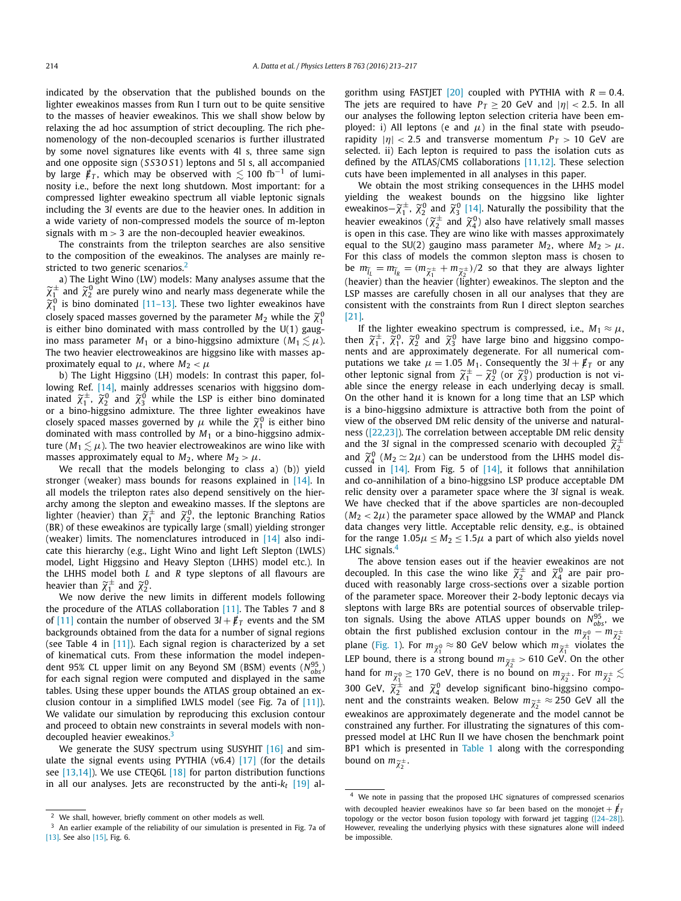indicated by the observation that the published bounds on the lighter eweakinos masses from Run I turn out to be quite sensitive to the masses of heavier eweakinos. This we shall show below by relaxing the ad hoc assumption of strict decoupling. The rich phenomenology of the non-decoupled scenarios is further illustrated by some novel signatures like events with 4l s, three same sign and one opposite sign (*S S*3*O S*1) leptons and 5l s, all accompanied by large  $/\,\llap/_T$ , which may be observed with  $\lesssim$  100 fb $^{-1}$  of luminosity i.e., before the next long shutdown. Most important: for a compressed lighter eweakino spectrum all viable leptonic signals including the 3*l* events are due to the heavier ones. In addition in a wide variety of non-compressed models the source of m-lepton signals with  $m > 3$  are the non-decoupled heavier eweakinos.

The constraints from the trilepton searches are also sensitive to the composition of the eweakinos. The analyses are mainly restricted to two generic scenarios.<sup>2</sup>

a) The Light Wino (LW) models: Many analyses assume that the  $\widetilde{\chi}_1^{\pm}$  and  $\widetilde{\chi}_2^0$  are purely wino and nearly mass degenerate while the  $\widetilde{\chi}_1^0$  is bino dominated [11-13]. These two lighter eweakinos have closely spaced masses governed by the parameter  $M_2$  while the  ${\widetilde \chi_1^0}$ is either bino dominated with mass controlled by the  $U(1)$  gaugino mass parameter  $M_1$  or a bino-higgsino admixture ( $M_1 \lesssim \mu$ ). The two heavier electroweakinos are higgsino like with masses approximately equal to  $\mu$ , where  $M_2 < \mu$ 

b) The Light Higgsino (LH) models: In contrast this paper, following Ref. [14], mainly addresses scenarios with higgsino dominated  $\widetilde{\chi}_1^{\pm}$ ,  $\widetilde{\chi}_2^0$  and  $\widetilde{\chi}_3^0$  while the LSP is either bino dominated or a bino-higgsino admixture. The three lighter eweakinos have closely spaced masses governed by  $\mu$  while the  ${\widetilde \chi_1^0}$  is either bino dominated with mass controlled by *M*<sup>1</sup> or a bino-higgsino admixture ( $M_1 \lesssim \mu$ ). The two heavier electroweakinos are wino like with masses approximately equal to  $M_2$ , where  $M_2 > \mu$ .

We recall that the models belonging to class a) (b)) yield stronger (weaker) mass bounds for reasons explained in [14]. In all models the trilepton rates also depend sensitively on the hierarchy among the slepton and eweakino masses. If the sleptons are lighter (heavier) than  $\widetilde{\chi}_1^{\pm}$  and  $\widetilde{\chi}_2^0$ , the leptonic Branching Ratios (BR) of these eweakinos are typically large (small) yielding stronger (weaker) limits. The nomenclatures introduced in [14] also indicate this hierarchy (e.g., Light Wino and light Left Slepton (LWLS) model, Light Higgsino and Heavy Slepton (LHHS) model etc.). In the LHHS model both *L* and *R* type sleptons of all flavours are heavier than  $\widetilde{\chi}_1^{\pm}$  and  $\widetilde{\chi}_2^{0}$ .

We now derive the new limits in different models following the procedure of the ATLAS collaboration [11]. The Tables 7 and 8 of [11] contain the number of observed  $3l + \cancel{E}_T$  events and the SM backgrounds obtained from the data for a number of signal regions (see Table 4 in  $[11]$ ). Each signal region is characterized by a set of kinematical cuts. From these information the model independent 95% CL upper limit on any Beyond SM (BSM) events ( $N_{obs}^{95}$ ) for each signal region were computed and displayed in the same tables. Using these upper bounds the ATLAS group obtained an exclusion contour in a simplified LWLS model (see Fig. 7a of [11]). We validate our simulation by reproducing this exclusion contour and proceed to obtain new constraints in several models with nondecoupled heavier eweakinos.<sup>3</sup>

We generate the SUSY spectrum using SUSYHIT [16] and simulate the signal events using PYTHIA (v6.4) [17] (for the details see [13,14]). We use CTEQ6L [18] for parton distribution functions in all our analyses. Jets are reconstructed by the anti-*k<sup>t</sup>* [19] algorithm using FASTJET  $[20]$  coupled with PYTHIA with  $R = 0.4$ . The jets are required to have  $P_T \ge 20$  GeV and  $|\eta| < 2.5$ . In all our analyses the following lepton selection criteria have been employed: i) All leptons (e and  $\mu$ ) in the final state with pseudorapidity  $|\eta|$  < 2.5 and transverse momentum  $P_T > 10$  GeV are selected. ii) Each lepton is required to pass the isolation cuts as defined by the ATLAS/CMS collaborations [11,12]. These selection cuts have been implemented in all analyses in this paper.

We obtain the most striking consequences in the LHHS model yielding the weakest bounds on the higgsino like lighter eweakinos $-\tilde{\chi}_1^{\pm}$ ,  $\tilde{\chi}_2^0$  and  $\tilde{\chi}_3^0$  [14]. Naturally the possibility that the heavier eweakinos ( $\widetilde{\chi}_2^{\pm}$  and  $\widetilde{\chi}_4^0$ ) also have relatively small masses is open in this case. They are wino like with masses approximately equal to the SU(2) gaugino mass parameter  $M_2$ , where  $M_2 > \mu$ . For this class of models the common slepton mass is chosen to be  $m_{\tilde{l}_L} = m_{\tilde{l}_R} = (m_{\tilde{\chi}_1^{\pm}} + m_{\tilde{\chi}_2^{\pm}})/2$  so that they are always lighter (heavier) than the heavier (lighter) eweakinos. The slepton and the LSP masses are carefully chosen in all our analyses that they are consistent with the constraints from Run I direct slepton searches [21].

If the lighter eweakino spectrum is compressed, i.e.,  $M_1 \approx \mu$ , then  $\tilde{\chi}_1^{\pm}$ ,  $\tilde{\chi}_1^0$ ,  $\tilde{\chi}_2^0$  and  $\tilde{\chi}_3^0$  have large bino and higgsino components and are approximately degenerate. For all numerical computations we take  $\mu = 1.05 M_1$ . Consequently the  $3l + \cancel{F}_T$  or any other leptonic signal from  $\widetilde{\chi}_1^{\pm} - \widetilde{\chi}_2^0$  (or  $\widetilde{\chi}_3^0$ ) production is not viable since the energy release in each underlying decay is small. On the other hand it is known for a long time that an LSP which is a bino-higgsino admixture is attractive both from the point of view of the observed DM relic density of the universe and naturalness ([22,23]). The correlation between acceptable DM relic density and the 3*l* signal in the compressed scenario with decoupled  $\tilde{\chi}_2^{\pm}$ and  $\widetilde{\chi}_4^0$  ( $M_2 \simeq 2\mu$ ) can be understood from the LHHS model discussed in  $[14]$ . From Fig. 5 of  $[14]$ , it follows that annihilation and co-annihilation of a bino-higgsino LSP produce acceptable DM relic density over a parameter space where the 3*l* signal is weak. We have checked that if the above sparticles are non-decoupled  $(M_2 < 2\mu)$  the parameter space allowed by the WMAP and Planck data changes very little. Acceptable relic density, e.g., is obtained for the range  $1.05\mu \leq M_2 \leq 1.5\mu$  a part of which also yields novel LHC signals.<sup>4</sup>

The above tension eases out if the heavier eweakinos are not decoupled. In this case the wino like  $\widetilde{\chi}^{\pm}_2$  and  $\widetilde{\chi}^0_4$  are pair produced with reasonably large cross-sections over a sizable portion of the parameter space. Moreover their 2-body leptonic decays via sleptons with large BRs are potential sources of observable trilepton signals. Using the above ATLAS upper bounds on  $N_{obs}^{95}$ , we obtain the first published exclusion contour in the  $m_{\widetilde{\chi}_1^0} - m_{\widetilde{\chi}_2^{\pm}}$ plane (Fig. 1). For  $m_{\widetilde{\chi}_1^0} \approx 80$  GeV below which  $m_{\widetilde{\chi}_1^{\pm}}$  violates the LEP bound, there is a strong bound  $m_{\tilde{\chi}^{\pm}} > 610$  GeV. On the other hand for  $m_{\widetilde{\chi}_1^0} \geq 170$  GeV, there is no bound on  $m_{\widetilde{\chi}_2^{\pm}}$ . For  $m_{\widetilde{\chi}_2^{\pm}} \lesssim$ 300 GeV,  $\widetilde{\chi}_2^{\pm}$  and  $\widetilde{\chi}_4^0$  develop significant bino-higgsino component and the constraints weaken. Below  $m_{\widetilde{\chi}_2^{\pm}} \approx 250$  GeV all the eweakinos are approximately degenerate and the model cannot be constrained any further. For illustrating the signatures of this compressed model at LHC Run II we have chosen the benchmark point BP1 which is presented in Table 1 along with the corresponding bound on  $m_{\widetilde{\chi}_2^{\pm}}$ .

<sup>2</sup> We shall, however, briefly comment on other models as well.

<sup>3</sup> An earlier example of the reliability of our simulation is presented in Fig. 7a of [13]. See also [15]. Fig. 6.

<sup>4</sup> We note in passing that the proposed LHC signatures of compressed scenarios with decoupled heavier eweakinos have so far been based on the monojet  $+ \not{E}_T$ topology or the vector boson fusion topology with forward jet tagging  $([24-28])$ . However, revealing the underlying physics with these signatures alone will indeed be impossible.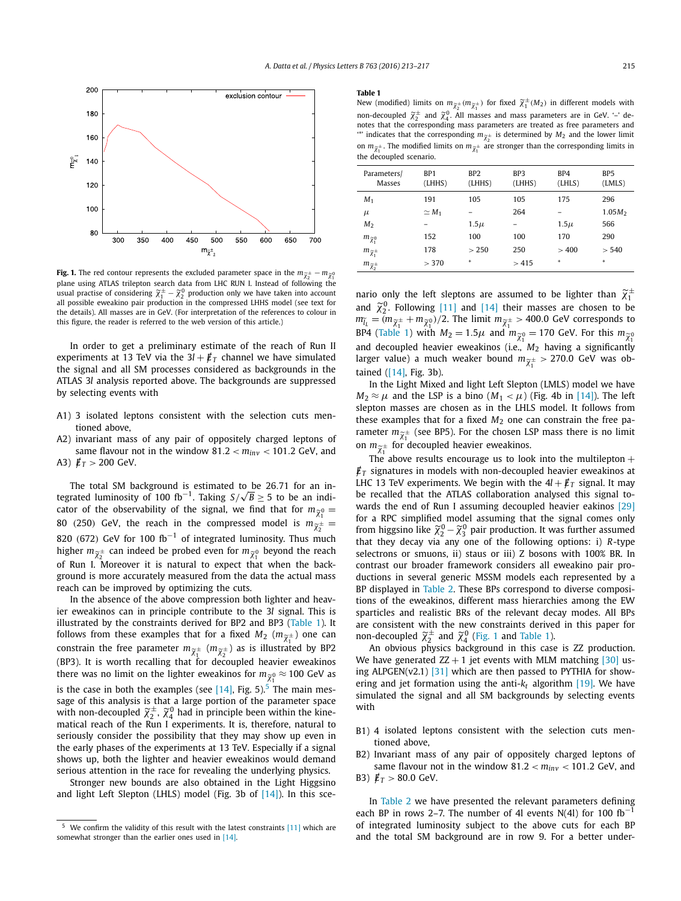

**Fig. 1.** The red contour represents the excluded parameter space in the  $m_{\widetilde{\chi}^\pm_2} - m_{\widetilde{\chi}^\pm_1}$ plane using ATLAS trilepton search data from LHC RUN I. Instead of following the usual practise of considering  $\widetilde{\chi}_1^{\pm} - \widetilde{\chi}_2^0$  production only we have taken into account all possible eweakino pair production in the compressed LHHS model (see text for the details). All masses are in GeV. (For interpretation of the references to colour in this figure, the reader is referred to the web version of this article.)

In order to get a preliminary estimate of the reach of Run II experiments at 13 TeV via the  $3l + \not{E}_T$  channel we have simulated the signal and all SM processes considered as backgrounds in the ATLAS 3*l* analysis reported above. The backgrounds are suppressed by selecting events with

- A1) 3 isolated leptons consistent with the selection cuts mentioned above,
- A2) invariant mass of any pair of oppositely charged leptons of same flavour not in the window 81.2 < *minv* < 101.2 GeV, and A3)  $/\,\llap E_T > 200 \, \text{GeV}.$

The total SM background is estimated to be 26.71 for an integrated luminosity of 100 fb<sup>-1</sup>. Taking  $S/\sqrt{B} \ge 5$  to be an indicator of the observability of the signal, we find that for  $m_{\widetilde{\chi}^0_1} =$ 80 (250) GeV, the reach in the compressed model is  $m_{\tilde{\chi}^{\pm}}^{\chi_1^{\pm}} =$ 820 (672) GeV for 100 fb<sup>-1</sup> of integrated luminosity. Thus much higher  $m_{\widetilde{\chi}^{\pm}_2}$  can indeed be probed even for  $m_{\widetilde{\chi}^0_1}$  beyond the reach of Run I. Moreover it is natural to expect that when the background is more accurately measured from the data the actual mass reach can be improved by optimizing the cuts.

In the absence of the above compression both lighter and heavier eweakinos can in principle contribute to the 3*l* signal. This is illustrated by the constraints derived for BP2 and BP3 (Table 1). It follows from these examples that for a fixed  $M_2$   $(m_{\widetilde{\chi}_1^{\pm}})$  one can constrain the free parameter  $m_{\widetilde{\chi}_1^{\pm}}$   $(m_{\widetilde{\chi}_2^{\pm}})$  as is illustrated by BP2 (BP3). It is worth recalling that for decoupled heavier eweakinos there was no limit on the lighter eweakinos for  $m_{\widetilde{\chi}^0_1}\approx$  100 GeV as is the case in both the examples (see  $[14]$ , Fig. 5).<sup>5</sup> The main message of this analysis is that a large portion of the parameter space with non-decoupled  $\widetilde{\chi}^{\pm}_2$ ,  $\widetilde{\chi}^0_4$  had in principle been within the kinematical reach of the Run I experiments. It is, therefore, natural to seriously consider the possibility that they may show up even in the early phases of the experiments at 13 TeV. Especially if a signal shows up, both the lighter and heavier eweakinos would demand serious attention in the race for revealing the underlying physics.

Stronger new bounds are also obtained in the Light Higgsino and light Left Slepton (LHLS) model (Fig. 3b of  $[14]$ ). In this sce-

#### **Table 1**

New (modified) limits on  $m_{\tilde{\chi}_2^{\pm}}(m_{\tilde{\chi}_1^{\pm}})$  for fixed  $\tilde{\chi}_1^{\pm}(M_2)$  in different models with non-decoupled  $\tilde{\chi}_2^{\pm}$  and  $\tilde{\chi}_4^0$ . All masses and mass parameters are in GeV. '-' denotes that the corresponding mass parameters are treated as free parameters and  $\stackrel{...}{\ }$  indicates that the corresponding  $m_{\widetilde{\chi}^\pm_2}$  is determined by  $M_2$  and the lower limit on  $m_{\widetilde{\chi}_1^{\pm}}$ . The modified limits on  $m_{\widetilde{\chi}_1^{\pm}}$  are stronger than the corresponding limits in the decoupled scenario.

| Parameters/<br>Masses          | BP1<br>(LHHS) | BP <sub>2</sub><br>(LHHS) | BP3<br>(LHHS) | BP4<br>(LHLS) | BP <sub>5</sub><br>(LMLS) |
|--------------------------------|---------------|---------------------------|---------------|---------------|---------------------------|
| $M_1$                          | 191           | 105                       | 105           | 175           | 296                       |
| $\mu$                          | $\simeq M_1$  |                           | 264           |               | $1.05M_{2}$               |
| M <sub>2</sub>                 |               | $1.5\mu$                  |               | $1.5\mu$      | 566                       |
| $m_{\widetilde{\chi}_1^0}$     | 152           | 100                       | 100           | 170           | 290                       |
| $m_{\widetilde{\chi}_1^{\pm}}$ | 178           | > 250                     | 250           | >400          | > 540                     |
| $m_{\widetilde\chi_2^\pm}$     | > 370         | $\ast$                    | >415          | $\ast$        | $\ast$                    |

nario only the left sleptons are assumed to be lighter than  $\widetilde{\chi}^{\pm}_1$ and  $\tilde{\chi}_2^0$ . Following [11] and [14] their masses are chosen to be  $m_{\tilde{l}_L} = (m_{\tilde{\chi}_1^{\pm}} + m_{\tilde{\chi}_1^{0}})/2$ . The limit  $m_{\tilde{\chi}_1^{\pm}} > 400.0$  GeV corresponds to BP4 (Table 1) with  $M_2 = 1.5\mu$  and  $m_{\widetilde{\chi}_1^0} = 170$  GeV. For this  $m_{\widetilde{\chi}_1^0}$ and decoupled heavier eweakinos (i.e., *M*<sup>2</sup> having a significantly larger value) a much weaker bound  $m_{\widetilde{\chi}_1^\pm} > 270.0$  GeV was obtained ([14], Fig. 3b).

In the Light Mixed and light Left Slepton (LMLS) model we have  $M_2 \approx \mu$  and the LSP is a bino  $(M_1 < \mu)$  (Fig. 4b in [14]). The left slepton masses are chosen as in the LHLS model. It follows from these examples that for a fixed  $M_2$  one can constrain the free parameter  $m_{\widetilde{\chi}_1^{\pm}}$  (see BP5). For the chosen LSP mass there is no limit on  $m_{\widetilde{\chi}_1^{\pm}}$  for decoupled heavier eweakinos.

The above results encourage us to look into the multilepton  $+$  $\not\!\!E_T$  signatures in models with non-decoupled heavier eweakinos at LHC 13 TeV experiments. We begin with the  $4l + \cancel{E}_T$  signal. It may be recalled that the ATLAS collaboration analysed this signal towards the end of Run I assuming decoupled heavier eakinos [29] for a RPC simplified model assuming that the signal comes only from higgsino like  $\widetilde{\chi}_2^0 - \widetilde{\chi}_3^0$  pair production. It was further assumed that they decay via any one of the following options: i) *R*-type selectrons or smuons, ii) staus or iii) Z bosons with 100% BR. In contrast our broader framework considers all eweakino pair productions in several generic MSSM models each represented by a BP displayed in Table 2. These BPs correspond to diverse compositions of the eweakinos, different mass hierarchies among the EW sparticles and realistic BRs of the relevant decay modes. All BPs are consistent with the new constraints derived in this paper for non-decoupled  $\widetilde{\chi}^{\pm}_2$  and  $\widetilde{\chi}^0_4$  (Fig. 1 and Table 1).

An obvious physics background in this case is ZZ production. We have generated  $ZZ + 1$  jet events with MLM matching [30] using ALPGEN(v2.1)  $[31]$  which are then passed to PYTHIA for showering and jet formation using the anti- $k_t$  algorithm [19]. We have simulated the signal and all SM backgrounds by selecting events with

- B1) 4 isolated leptons consistent with the selection cuts mentioned above,
- B2) Invariant mass of any pair of oppositely charged leptons of same flavour not in the window 81.2 < *minv* < 101.2 GeV, and
- B3)  $/\,\llap E_T > 80.0 \, \text{GeV}.$

In Table 2 we have presented the relevant parameters defining each BP in rows 2–7. The number of 4l events N(4l) for 100 fb<sup>-1</sup> of integrated luminosity subject to the above cuts for each BP and the total SM background are in row 9. For a better under-

We confirm the validity of this result with the latest constraints  $[11]$  which are somewhat stronger than the earlier ones used in [14].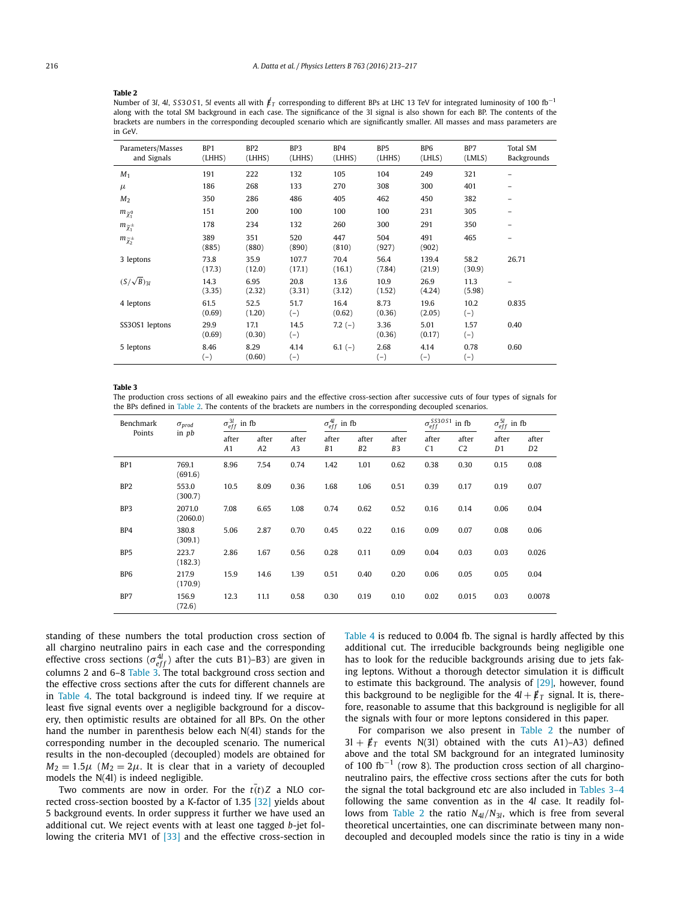#### **Table 2**

Number of <sup>3</sup>*l*, <sup>4</sup>*l*, *S S*3*O S*1, <sup>5</sup>*<sup>l</sup>* events all with /*<sup>E</sup><sup>T</sup>* corresponding to different BPs at LHC 13 TeV for integrated luminosity of 100 fb−<sup>1</sup> along with the total SM background in each case. The significance of the 3l signal is also shown for each BP. The contents of the brackets are numbers in the corresponding decoupled scenario which are significantly smaller. All masses and mass parameters are in GeV.

| Parameters/Masses<br>and Signals | BP <sub>1</sub><br>(LHHS) | BP <sub>2</sub><br>(LHHS) | BP3<br>(LHHS)   | BP4<br>(LHHS)  | BP <sub>5</sub><br>(LHHS) | B <sub>P6</sub><br>(LHLS) | BP7<br>(LMLS)  | Total SM<br>Backgrounds |
|----------------------------------|---------------------------|---------------------------|-----------------|----------------|---------------------------|---------------------------|----------------|-------------------------|
| $M_1$                            | 191                       | 222                       | 132             | 105            | 104                       | 249                       | 321            |                         |
| $\mu$                            | 186                       | 268                       | 133             | 270            | 308                       | 300                       | 401            | -                       |
| M <sub>2</sub>                   | 350                       | 286                       | 486             | 405            | 462                       | 450                       | 382            | -                       |
| $m_{\widetilde{\chi}_1^0}$       | 151                       | 200                       | 100             | 100            | 100                       | 231                       | 305            |                         |
| $m_{\widetilde{\chi}_1^\pm}$     | 178                       | 234                       | 132             | 260            | 300                       | 291                       | 350            |                         |
| $m_{\widetilde{\chi}_2^{\pm}}$   | 389<br>(885)              | 351<br>(880)              | 520<br>(890)    | 447<br>(810)   | 504<br>(927)              | 491<br>(902)              | 465            | -                       |
| 3 leptons                        | 73.8<br>(17.3)            | 35.9<br>(12.0)            | 107.7<br>(17.1) | 70.4<br>(16.1) | 56.4<br>(7.84)            | 139.4<br>(21.9)           | 58.2<br>(30.9) | 26.71                   |
| $(S/\sqrt{B})_{31}$              | 14.3<br>(3.35)            | 6.95<br>(2.32)            | 20.8<br>(3.31)  | 13.6<br>(3.12) | 10.9<br>(1.52)            | 26.9<br>(4.24)            | 11.3<br>(5.98) |                         |
| 4 leptons                        | 61.5<br>(0.69)            | 52.5<br>(1.20)            | 51.7<br>$(-)$   | 16.4<br>(0.62) | 8.73<br>(0.36)            | 19.6<br>(2.05)            | 10.2<br>$(-)$  | 0.835                   |
| SS3OS1 leptons                   | 29.9<br>(0.69)            | 17.1<br>(0.30)            | 14.5<br>$(-)$   | $7.2(-)$       | 3.36<br>(0.36)            | 5.01<br>(0.17)            | 1.57<br>$(-)$  | 0.40                    |
| 5 leptons                        | 8.46<br>$(-)$             | 8.29<br>(0.60)            | 4.14<br>$(-)$   | $6.1(-)$       | 2.68<br>$(-)$             | 4.14<br>$(-)$             | 0.78<br>$(-)$  | 0.60                    |

#### **Table 3**

The production cross sections of all eweakino pairs and the effective cross-section after successive cuts of four types of signals for the BPs defined in Table 2. The contents of the brackets are numbers in the corresponding decoupled scenarios.

| Benchmark<br>Points | $\sigma_{prod}$<br>in <i>pb</i> | $\sigma_{eff}^{3l}$ in fb |                         |             | $\sigma_{eff}^{4l}$ in fb |                         |                         | $\sigma_{eff}^{SS30S1}$ in fb<br>'eff |                         | $\sigma_{eff}^{5l}$ in fb |                         |
|---------------------|---------------------------------|---------------------------|-------------------------|-------------|---------------------------|-------------------------|-------------------------|---------------------------------------|-------------------------|---------------------------|-------------------------|
|                     |                                 | after<br>A1               | after<br>A <sub>2</sub> | after<br>A3 | after<br>B1               | after<br>B <sub>2</sub> | after<br>B <sub>3</sub> | after<br>C <sub>1</sub>               | after<br>C <sub>2</sub> | after<br>D1               | after<br>D <sub>2</sub> |
| BP <sub>1</sub>     | 769.1<br>(691.6)                | 8.96                      | 7.54                    | 0.74        | 1.42                      | 1.01                    | 0.62                    | 0.38                                  | 0.30                    | 0.15                      | 0.08                    |
| BP <sub>2</sub>     | 553.0<br>(300.7)                | 10.5                      | 8.09                    | 0.36        | 1.68                      | 1.06                    | 0.51                    | 0.39                                  | 0.17                    | 0.19                      | 0.07                    |
| BP3                 | 2071.0<br>(2060.0)              | 7.08                      | 6.65                    | 1.08        | 0.74                      | 0.62                    | 0.52                    | 0.16                                  | 0.14                    | 0.06                      | 0.04                    |
| BP4                 | 380.8<br>(309.1)                | 5.06                      | 2.87                    | 0.70        | 0.45                      | 0.22                    | 0.16                    | 0.09                                  | 0.07                    | 0.08                      | 0.06                    |
| BP <sub>5</sub>     | 223.7<br>(182.3)                | 2.86                      | 1.67                    | 0.56        | 0.28                      | 0.11                    | 0.09                    | 0.04                                  | 0.03                    | 0.03                      | 0.026                   |
| BP <sub>6</sub>     | 217.9<br>(170.9)                | 15.9                      | 14.6                    | 1.39        | 0.51                      | 0.40                    | 0.20                    | 0.06                                  | 0.05                    | 0.05                      | 0.04                    |
| BP7                 | 156.9<br>(72.6)                 | 12.3                      | 11.1                    | 0.58        | 0.30                      | 0.19                    | 0.10                    | 0.02                                  | 0.015                   | 0.03                      | 0.0078                  |

standing of these numbers the total production cross section of all chargino neutralino pairs in each case and the corresponding effective cross sections  $(\sigma_{eff}^{4l})$  after the cuts B1)–B3) are given in columns 2 and 6–8 Table 3. The total background cross section and the effective cross sections after the cuts for different channels are in Table 4. The total background is indeed tiny. If we require at least five signal events over a negligible background for a discovery, then optimistic results are obtained for all BPs. On the other hand the number in parenthesis below each N(4l) stands for the corresponding number in the decoupled scenario. The numerical results in the non-decoupled (decoupled) models are obtained for  $M_2 = 1.5\mu$  ( $M_2 = 2\mu$ . It is clear that in a variety of decoupled models the N(4l) is indeed negligible.

Two comments are now in order. For the  $t(t)Z$  a NLO corrected cross-section boosted by a K-factor of 1.35 [32] yields about 5 background events. In order suppress it further we have used an additional cut. We reject events with at least one tagged *b*-jet following the criteria MV1 of [33] and the effective cross-section in

Table 4 is reduced to 0.004 fb. The signal is hardly affected by this additional cut. The irreducible backgrounds being negligible one has to look for the reducible backgrounds arising due to jets faking leptons. Without a thorough detector simulation it is difficult to estimate this background. The analysis of [29], however, found this background to be negligible for the  $4l + \cancel{E}_T$  signal. It is, therefore, reasonable to assume that this background is negligible for all the signals with four or more leptons considered in this paper.

For comparison we also present in Table 2 the number of  $3l + \cancel{E}_T$  events N(3l) obtained with the cuts A1)-A3) defined above and the total SM background for an integrated luminosity of 100 fb<sup>-1</sup> (row 8). The production cross section of all charginoneutralino pairs, the effective cross sections after the cuts for both the signal the total background etc are also included in Tables 3–4 following the same convention as in the 4*l* case. It readily follows from Table 2 the ratio  $N_{4l}/N_{3l}$ , which is free from several theoretical uncertainties, one can discriminate between many nondecoupled and decoupled models since the ratio is tiny in a wide